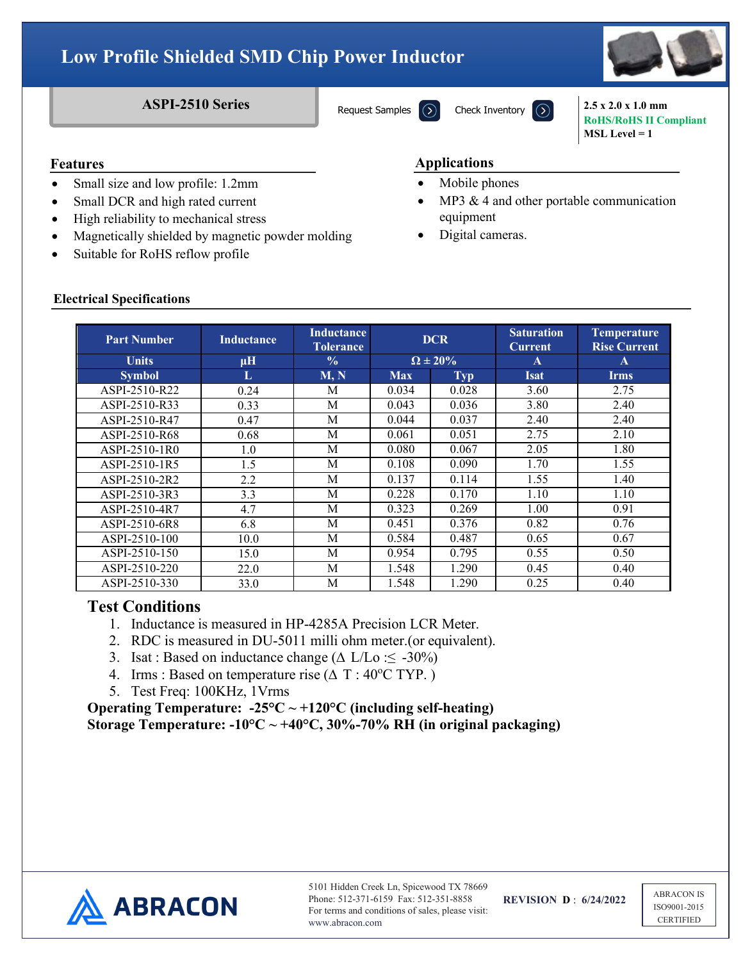# **Low Profile Shielded SMD Chip Power Inductor**

Request Samples

**ASPI-2510 Series** Request Samples  $\Omega$  Check Inventory  $\Omega$  2.5 x 2.0 x 1.0 mm **RoHS/RoHS II Compliant**

**MSL Level = 1**

### **Features**

- Small size and low profile: 1.2mm
- Small DCR and high rated current
- High reliability to mechanical stress
- Magnetically shielded by magnetic powder molding
- Suitable for RoHS reflow profile

### **Features Applications**

- Mobile phones
- MP3  $&$  4 and other portable communication equipment
- Digital cameras.

| <b>Electrical Specifications</b> |  |
|----------------------------------|--|

| <b>Part Number</b> | <b>Inductance</b> | <b>Inductance</b><br>Tolerance | <b>DCR</b>        |            | <b>Saturation</b><br><b>Current</b> | <b>Temperature</b><br><b>Rise Current</b> |
|--------------------|-------------------|--------------------------------|-------------------|------------|-------------------------------------|-------------------------------------------|
| <b>Units</b>       | $\mu$ H           | $\frac{0}{0}$                  | $\Omega \pm 20\%$ |            | A                                   | A                                         |
| <b>Symbol</b>      | L                 | M, N                           | <b>Max</b>        | <b>Typ</b> | <b>Isat</b>                         | <b>Irms</b>                               |
| ASPI-2510-R22      | 0.24              | M                              | 0.034             | 0.028      | 3.60                                | 2.75                                      |
| ASPI-2510-R33      | 0.33              | M                              | 0.043             | 0.036      | 3.80                                | 2.40                                      |
| ASPI-2510-R47      | 0.47              | M                              | 0.044             | 0.037      | 2.40                                | 2.40                                      |
| ASPI-2510-R68      | 0.68              | M                              | 0.061             | 0.051      | 2.75                                | 2.10                                      |
| ASPI-2510-1R0      | 1.0               | M                              | 0.080             | 0.067      | 2.05                                | 1.80                                      |
| ASPI-2510-1R5      | 1.5               | M                              | 0.108             | 0.090      | 1.70                                | 1.55                                      |
| ASPI-2510-2R2      | 2.2               | M                              | 0.137             | 0.114      | 1.55                                | 1.40                                      |
| ASPI-2510-3R3      | 3.3               | M                              | 0.228             | 0.170      | 1.10                                | 1.10                                      |
| ASPI-2510-4R7      | 4.7               | M                              | 0.323             | 0.269      | 1.00                                | 0.91                                      |
| ASPI-2510-6R8      | 6.8               | M                              | 0.451             | 0.376      | 0.82                                | 0.76                                      |
| ASPI-2510-100      | 10.0              | M                              | 0.584             | 0.487      | 0.65                                | 0.67                                      |
| ASPI-2510-150      | 15.0              | M                              | 0.954             | 0.795      | 0.55                                | 0.50                                      |
| ASPI-2510-220      | 22.0              | M                              | 1.548             | 1.290      | 0.45                                | 0.40                                      |
| ASPI-2510-330      | 33.0              | M                              | 1.548             | 1.290      | 0.25                                | 0.40                                      |

## **Test Conditions**

- 1. Inductance is measured in HP-4285A Precision LCR Meter.
- 2. RDC is measured in DU-5011 milli ohm meter.(or equivalent).
- 3. Isat : Based on inductance change ( $\Delta$  L/Lo :  $\leq$  -30%)
- 4. Irms : Based on temperature rise  $(\Delta T : 40^{\circ}C TYP)$ .)
- 5. Test Freq: 100KHz, 1Vrms

**Operating Temperature: -25°C ~ +120°C (including self-heating) Storage Temperature: -10°C ~ +40°C, 30%-70% RH (in original packaging)** 



ABRACON IS ISO9001-2015 **CERTIFIED**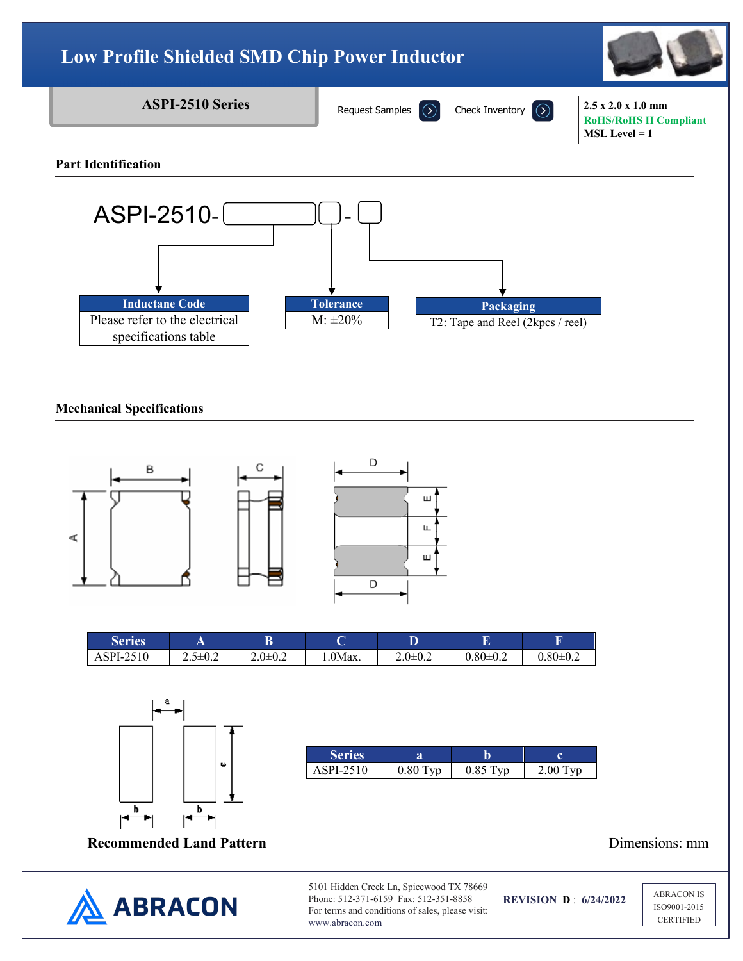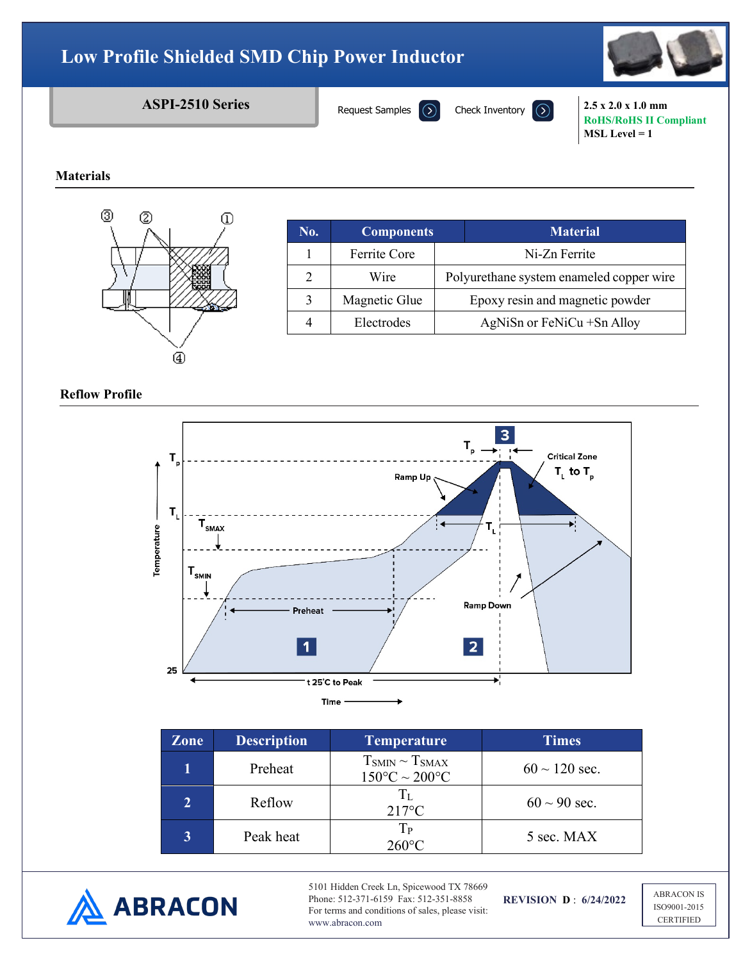# **Low Profile Shielded SMD Chip Power Inductor**



# **ASPI-2510 Series** Request Samples  $\overline{)}$  Check Inventory  $\overline{)}$  2.5 x 2.0 x 1.0 mm

Request Samples

**RoHS/RoHS II Compliant MSL Level = 1**

### **Materials**



| No. | <b>Components</b> | <b>Material</b>                          |  |
|-----|-------------------|------------------------------------------|--|
|     | Ferrite Core      | Ni-Zn Ferrite                            |  |
|     | Wire              | Polyurethane system enameled copper wire |  |
|     | Magnetic Glue     | Epoxy resin and magnetic powder          |  |
|     | Electrodes        | AgNiSn or FeNiCu + Sn Alloy              |  |

**Reflow Profile**



| <b>Zone</b> | <b>Description</b> | <b>Temperature</b>                                  | <b>Times</b>       |
|-------------|--------------------|-----------------------------------------------------|--------------------|
|             | Preheat            | $T_{SMIN} \sim T_{SMAX}$<br>$150^{\circ}$ C ~ 200°C | $60 \sim 120$ sec. |
|             | Reflow             | $T_{\rm L}$<br>$217^{\circ}$ C                      | $60 \sim 90$ sec.  |
|             | Peak heat          | Tр<br>$260^{\circ}$ C                               | 5 sec. MAX         |



5101 Hidden Creek Ln, Spicewood TX 78669 Phone: 512-371-6159 Fax: 512-351-8858 For terms and conditions of sales, please visit: www.abracon.com

**REVISION D** : **6/24/2022**

ABRACON IS ISO9001-2015 **CERTIFIED**